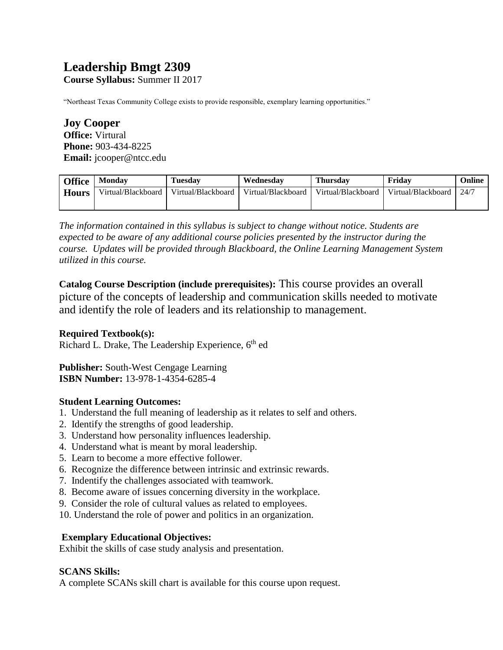# **Leadership Bmgt 2309**

**Course Syllabus:** Summer II 2017

"Northeast Texas Community College exists to provide responsible, exemplary learning opportunities."

**Joy Cooper Office:** Virtural **Phone:** 903-434-8225 **Email:** jcooper@ntcc.edu

| <b>Office</b> | <b>Monday</b>      | <b>Tuesday</b>     | Wednesdav          | <b>Thursday</b>    | Fridav             | Online |
|---------------|--------------------|--------------------|--------------------|--------------------|--------------------|--------|
| <b>Hours</b>  | Virtual/Blackboard | Virtual/Blackboard | Virtual/Blackboard | Virtual/Blackboard | Virtual/Blackboard | 24/7   |
|               |                    |                    |                    |                    |                    |        |

*The information contained in this syllabus is subject to change without notice. Students are expected to be aware of any additional course policies presented by the instructor during the course. Updates will be provided through Blackboard, the Online Learning Management System utilized in this course.* 

**Catalog Course Description (include prerequisites):** This course provides an overall picture of the concepts of leadership and communication skills needed to motivate and identify the role of leaders and its relationship to management.

## **Required Textbook(s):**

Richard L. Drake, The Leadership Experience, 6<sup>th</sup> ed

**Publisher:** South-West Cengage Learning **ISBN Number:** 13-978-1-4354-6285-4

## **Student Learning Outcomes:**

- 1. Understand the full meaning of leadership as it relates to self and others.
- 2. Identify the strengths of good leadership.
- 3. Understand how personality influences leadership.
- 4. Understand what is meant by moral leadership.
- 5. Learn to become a more effective follower.
- 6. Recognize the difference between intrinsic and extrinsic rewards.
- 7. Indentify the challenges associated with teamwork.
- 8. Become aware of issues concerning diversity in the workplace.
- 9. Consider the role of cultural values as related to employees.
- 10. Understand the role of power and politics in an organization.

## **Exemplary Educational Objectives:**

Exhibit the skills of case study analysis and presentation.

#### **SCANS Skills:**

A complete SCANs skill chart is available for this course upon request.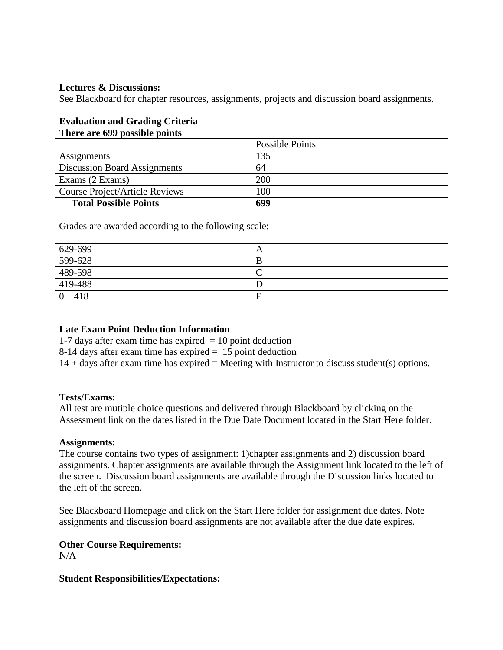#### **Lectures & Discussions:**

See Blackboard for chapter resources, assignments, projects and discussion board assignments.

## **Evaluation and Grading Criteria**

## **There are 699 possible points**

|                                     | <b>Possible Points</b> |
|-------------------------------------|------------------------|
| Assignments                         | 135                    |
| <b>Discussion Board Assignments</b> | 64                     |
| Exams (2 Exams)                     | <b>200</b>             |
| Course Project/Article Reviews      | 100                    |
| <b>Total Possible Points</b>        | 699                    |

Grades are awarded according to the following scale:

| 629-699   | A |
|-----------|---|
| 599-628   | B |
| 489-598   | ◡ |
| 419-488   |   |
| $0 - 418$ | F |

#### **Late Exam Point Deduction Information**

1-7 days after exam time has expired  $= 10$  point deduction

8-14 days after exam time has expired = 15 point deduction

 $14 +$  days after exam time has expired = Meeting with Instructor to discuss student(s) options.

#### **Tests/Exams:**

All test are mutiple choice questions and delivered through Blackboard by clicking on the Assessment link on the dates listed in the Due Date Document located in the Start Here folder.

#### **Assignments:**

The course contains two types of assignment: 1)chapter assignments and 2) discussion board assignments. Chapter assignments are available through the Assignment link located to the left of the screen. Discussion board assignments are available through the Discussion links located to the left of the screen.

See Blackboard Homepage and click on the Start Here folder for assignment due dates. Note assignments and discussion board assignments are not available after the due date expires.

## **Other Course Requirements:**

 $N/A$ 

**Student Responsibilities/Expectations:**